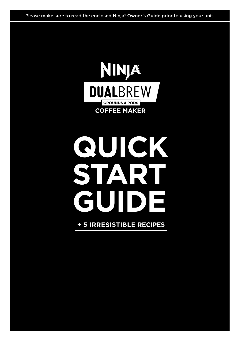Please make sure to read the enclosed Ninja® Owner's Guide prior to using your unit.



# **QUICK START GUIDE**

### **+ 5 IRRESISTIBLE RECIPES**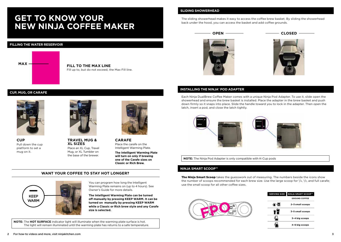### The sliding showerhead makes it easy to access the coffee brew basket. By sliding the showerhead **GET TO KNOW YOUR BACK UNDER THE HOODS, YOU COFFEE MAKER**

#### **FILLING THE WATER RESERVOIR**



**FILL TO THE MAX LINE**  Fill up to, but do not exceed, the Max Fill line.

#### **SLIDING SHOWERHEAD**







#### **INSTALLING THE NINJA® POD ADAPTER**

Each Ninja DualBrew Coffee Maker comes with a unique Ninja Pod Adapter. To use it, slide open the showerhead and ensure the brew basket is installed. Place the adapter in the brew basket and push down firmly so it snaps into place. Slide the handle toward you to lock in the adapter. Then open the latch, insert a pod, and close the latch tightly.



**NOTE:** The Ninja Pod Adapter is only compatible with K-Cup pods

#### **NINJA SMART SCOOP™**

**The Ninja Smart Scoop** takes the guesswork out of measuring. The numbers beside the icons show the number of scoops recommended for each brew size. Use the large scoop for  $1/4$ ,  $1/2$ , and full carafe; use the small scoop for all other coffee sizes.



| <b>SERVING SIZE</b> | <b>NINJA SMART SCOOP™</b> |
|---------------------|---------------------------|
|                     | <b>GROUND COFFEE</b>      |
| 信烟                  | 2-3 small scoops          |
|                     | 3-5 small scoops          |
|                     | 3-4 big scoops            |
|                     | 4-6 big scoops            |

#### **CUP, MUG, OR CARAFE**



**CUP**  Pull down the cup platform to set a mug on it.



**TRAVEL MUG & XL SIZES**  Place an XL Cup, Travel Mug, or XL Tumbler on the base of the brewer.



**one of the Carafe sizes on Classic or Rich Brew.**

Intelligent Warming Plate. **The Intelligent Warming Plate will turn on only if brewing** 

#### **WANT YOUR COFFEE TO STAY HOT LONGER?**



You can program how long the Intelligent Warming Plate remains on (up to 4 hours). See Owner's Guide for more details.

**The Intelligent Warming Plate can be turned off manually by pressing KEEP WARM. It can be turned on manually by pressing KEEP WARM while a Classic or Rich brew style and any Carafe size is selected.**

**NOTE:** The **HOT SURFACE** indicator light will illuminate when the warming plate surface is hot. The light will remain illuminated until the warming plate has returns to a safe temperature.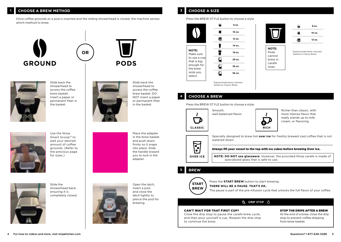Once coffee grounds or a pod is inserted and the sliding showerhead is closed, the machine senses which method to brew.

**OR**







Slide back the showerhead to access the coffee brew basket. Insert a paper or permanent filter in the basket.

Use the Ninja Smart Scoop™ to add your desired amount of coffee grounds. (Refer to the previous page for sizes.)

Slide back the showerhead to access the coffee brew basket. DO NOT insert a paper or permanent filter in the basket.

Place the adapter in the brew basket and push down firmly so it snaps into place. Slide the handle toward you to lock in the adapter.



Slide the showerhead back, ensuring it is completely closed.



Open the latch, insert a pod, and close the latch tightly to pierce the pod for brewing.

#### Press the BREW STYLE button to choose a style





#### **4 CHOOSE A BREW**

Press the BREW STYLE button to choose a style.





Richer than classic, with more intense flavor that really stands up to milk, cream, or flavoring.



**OVER ICE**

Specially designed to brew hot **over ice** for freshly brewed iced coffee that is not watered down.

carafe sizes.

#### Always fill your vessel to the top with ice cubes before brewing Over Ice.

**NOTE: DO NOT use glassware**. However, the provided Ninja carafe is made of specialized glass that is safe to use.

#### **5 BREW**



Press the **START BREW** button to start brewing.

**THERE WILL BE A PAUSE. THAT'S OK.**

The pause is part of the pre-infusion cycle that unlocks the full flavor of your coffee.

#### A DRIP STOP A

#### CAN'T WAIT FOR THAT FIRST CUP?

Close the drip stop to pause the carafe brew cycle, and then pour yourself a cup. Reopen the drip stop to continue the brew.

#### STOP THE DRIPS AFTER A BREW

At the end of a brew, close the drip stop to prevent coffee dripping from brew basket.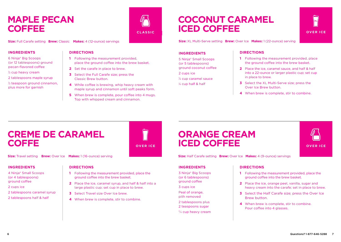### **MAPLE PECAN COFFEE**

**CLASSIC**

**Size:** Full Carafe setting **Brew:** Classic **Makes:** 4 (12-ounce) servings

#### **INGREDIENTS**

6 Ninja® Big Scoops (or 12 tablespoons) ground pecan-flavored coffee

- $\%$  cup heavy cream
- 2 tablespoons maple syrup
- 1 ⁄2 teaspoon ground cinnamon, plus more for garnish

#### **DIRECTIONS**

- **1** Following the measurement provided, place the ground coffee into the brew basket.
- **2** Set the carafe in place to brew.
- **3** Select the Full Carafe size; press the Classic Brew button.
- **4** While coffee is brewing, whip heavy cream with maple syrup and cinnamon until soft peaks form.
- **5** When brew is complete, pour coffee into 4 mugs. Top with whipped cream and cinnamon.

## **COCONUT CARAMEL ICED COFFEE**

**OVER ICE**

**Size:** XL Multi-Serve setting **Brew:** Over Ice **Makes:** 1 (22-ounce) serving

#### **INGREDIENTS**

5 Ninja® Small Scoops (or 5 tablespoons) ground coconut coffee

2 cups ice

1 ⁄4 cup caramel sauce

1 ⁄4 cup half & half

#### **DIRECTIONS**

- **1** Following the measurement provided, place the ground coffee into the brew basket.
- **2** Place the ice, caramel sauce, and half & half into a 22-ounce or larger plastic cup; set cup in place to brew.
- **3** Select the XL Multi-Serve size; press the Over Ice Brew button.
- **4** When brew is complete, stir to combine.

## **CREME DE CARAMEL COFFE**

**OVER ICE**

**Size:** Travel setting **Brew:** Over Ice **Makes:** 1 (16-ounce) serving

#### **INGREDIENTS**

4 Ninja® Small Scoops (or 4 tablespoons) ground coffee

- 
- 2 cups ice
- 2 tablespoons caramel syrup
- 2 tablespoons half & half

### **DIRECTIONS**

- **1** Following the measurement provided, place the ground coffee into the brew basket.
- **2** Place the ice, caramel syrup, and half & half into a large plastic cup; set cup in place to brew.
- **3** Select Travel size Over Ice brew.
- **4** When brew is complete, stir to combine.

### **ORANGE CREAM ICED COFFEE**

**Size:** Half Carafe setting **Brew:** Over Ice **Makes:** 4 (9-ounce) servings

#### **INGREDIENTS**

3 Ninja® Big Scoops (or 6 tablespoons) ground coffee 3 cups ice Peal of orange, pith removed 2 tablespoons plus

2 teaspoons sugar

 $3/4$  cup heavy cream

#### **DIRECTIONS**

- **1** Following the measurement provided, place the ground coffee into the brew basket.
- **2** Place the ice, orange peel, vanilla, sugar and heavy cream into the carafe; set in place to brew.
- **3** Select the Half Carafe size; press the Over Ice Brew button.
- **4** When brew is complete, stir to combine. Pour coffee into 4 glasses.

**OVER ICE**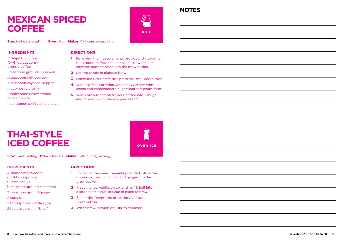### **MEXICAN SPICED COFFEE**



**NOTES**

**Size:** Half Carafe setting **Brew:** Rich **Makes:** 4 (7-ounce) servings

#### **INGREDIENTS**

- 3 Ninja® Big Scoops (or 6 tablespoons) ground coffee
- 1 teaspoon ground cinnamon
- $\%$  teaspoon chili powder
- 1 ⁄4 teaspoon cayenne pepper
- $\%$  cup heavy cream
- 1 tablespoon unsweetened cocoa powder
- 1 tablespoon confectioners' sugar

#### **DIRECTIONS**

- **1** Following the measurements provided, stir together the ground coffee, cinnamon, chili powder, and cayenne pepper; place into the brew basket.
- **2** Set the carafe in place to brew.
- **3** Select the Half Carafe size; press the Rich Brew button.
- **4** While coffee is brewing, whip heavy cream with cocoa and confectioners' sugar until soft peaks form.
- **5** When brew is complete, pour coffee into 2 mugs and top each with the whipped cream.

## **THAI-STYLE ICED COFFEE**



**Size:** Travel setting **Brew:** Over Ice **Makes:** 1 (16-ounce) serving

#### **INGREDIENTS**

- 4 Ninja® Small Scoops (or 4 tablespoons) ground coffee
- $\%$  teaspoon ground cinnamon
- 1 ⁄4 teaspoon ground ginger
- 2 cups ice
- 2 tablespoons vanilla syrup
- 2 tablespoons half & half

#### **DIRECTIONS**

- **1** Following the measurements provided, place the ground coffee, cinnamon, and ginger into the brew basket.
- **2** Place the ice, vanilla syrup, and half & half into a large plastic cup; set cup in place to brew.
- **3** Select the Travel size; press the Over Ice Brew button.
- **4** When brew is complete, stir to combine.